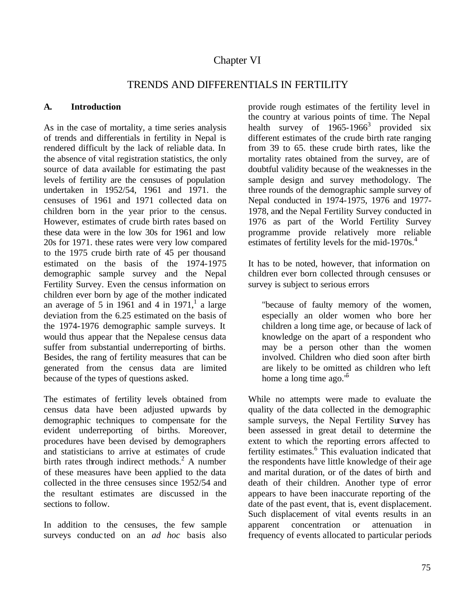# Chapter VI

## TRENDS AND DIFFERENTIALS IN FERTILITY

### **A. Introduction**

As in the case of mortality, a time series analysis of trends and differentials in fertility in Nepal is rendered difficult by the lack of reliable data. In the absence of vital registration statistics, the only source of data available for estimating the past levels of fertility are the censuses of population undertaken in 1952/54, 1961 and 1971. the censuses of 1961 and 1971 collected data on children born in the year prior to the census. However, estimates of crude birth rates based on these data were in the low 30s for 1961 and low 20s for 1971. these rates were very low compared to the 1975 crude birth rate of 45 per thousand estimated on the basis of the 1974-1975 demographic sample survey and the Nepal Fertility Survey. Even the census information on children ever born by age of the mother indicated an average of 5 in 1961 and 4 in 1971,<sup>1</sup> a large deviation from the 6.25 estimated on the basis of the 1974-1976 demographic sample surveys. It would thus appear that the Nepalese census data suffer from substantial underreporting of births. Besides, the rang of fertility measures that can be generated from the census data are limited because of the types of questions asked.

The estimates of fertility levels obtained from census data have been adjusted upwards by demographic techniques to compensate for the evident underreporting of births. Moreover, procedures have been devised by demographers and statisticians to arrive at estimates of crude birth rates through indirect methods. $2$  A number of these measures have been applied to the data collected in the three censuses since 1952/54 and the resultant estimates are discussed in the sections to follow.

In addition to the censuses, the few sample surveys conduc ted on an *ad hoc* basis also provide rough estimates of the fertility level in the country at various points of time. The Nepal health survey of  $1965 - 1966<sup>3</sup>$  provided six different estimates of the crude birth rate ranging from 39 to 65. these crude birth rates, like the mortality rates obtained from the survey, are of doubtful validity because of the weaknesses in the sample design and survey methodology. The three rounds of the demographic sample survey of Nepal conducted in 1974-1975, 1976 and 1977- 1978, and the Nepal Fertility Survey conducted in 1976 as part of the World Fertility Survey programme provide relatively more reliable estimates of fertility levels for the mid-1970s.<sup>4</sup>

It has to be noted, however, that information on children ever born collected through censuses or survey is subject to serious errors

"because of faulty memory of the women, especially an older women who bore her children a long time age, or because of lack of knowledge on the apart of a respondent who may be a person other than the women involved. Children who died soon after birth are likely to be omitted as children who left home a long time ago. $1<sup>5</sup>$ 

While no attempts were made to evaluate the quality of the data collected in the demographic sample surveys, the Nepal Fertility Survey has been assessed in great detail to determine the extent to which the reporting errors affected to fertility estimates.<sup>6</sup> This evaluation indicated that the respondents have little knowledge of their age and marital duration, or of the dates of birth and death of their children. Another type of error appears to have been inaccurate reporting of the date of the past event, that is, event displacement. Such displacement of vital events results in an apparent concentration or attenuation in frequency of events allocated to particular periods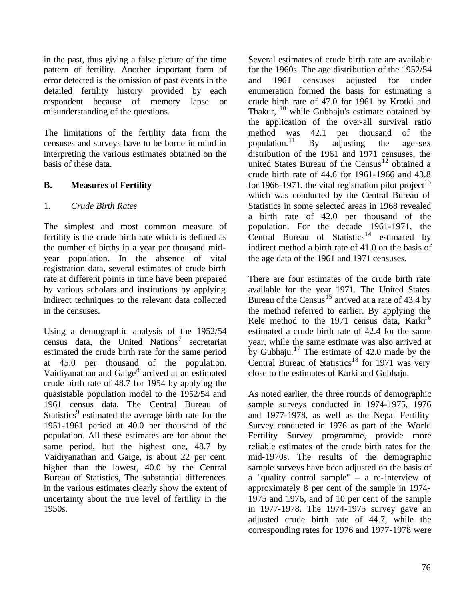in the past, thus giving a false picture of the time pattern of fertility. Another important form of error detected is the omission of past events in the detailed fertility history provided by each respondent because of memory lapse or misunderstanding of the questions.

The limitations of the fertility data from the censuses and surveys have to be borne in mind in interpreting the various estimates obtained on the basis of these data.

### **B. Measures of Fertility**

## 1. *Crude Birth Rates*

The simplest and most common measure of fertility is the crude birth rate which is defined as the number of births in a year per thousand midyear population. In the absence of vital registration data, several estimates of crude birth rate at different points in time have been prepared by various scholars and institutions by applying indirect techniques to the relevant data collected in the censuses.

Using a demographic analysis of the 1952/54 census data, the United Nations<sup>7</sup> secretariat estimated the crude birth rate for the same period at 45.0 per thousand of the population. Vaidiyanathan and Gaige<sup>8</sup> arrived at an estimated crude birth rate of 48.7 for 1954 by applying the quasistable population model to the 1952/54 and 1961 census data. The Central Bureau of Statistics<sup>9</sup> estimated the average birth rate for the 1951-1961 period at 40.0 per thousand of the population. All these estimates are for about the same period, but the highest one, 48.7 by Vaidiyanathan and Gaige, is about 22 per cent higher than the lowest, 40.0 by the Central Bureau of Statistics, The substantial differences in the various estimates clearly show the extent of uncertainty about the true level of fertility in the 1950s.

Several estimates of crude birth rate are available for the 1960s. The age distribution of the 1952/54 and 1961 censuses adjusted for under enumeration formed the basis for estimating a crude birth rate of 47.0 for 1961 by Krotki and Thakur,  $10$  while Gubhaju's estimate obtained by the application of the over-all survival ratio method was 42.1 per thousand of the population.<sup>11</sup> By adjusting the age-sex distribution of the 1961 and 1971 censuses, the united States Bureau of the Census<sup>12</sup> obtained a crude birth rate of 44.6 for 1961-1966 and 43.8 for 1966-1971. the vital registration pilot project<sup>13</sup> which was conducted by the Central Bureau of Statistics in some selected areas in 1968 revealed a birth rate of 42.0 per thousand of the population. For the decade 1961-1971, the Central Bureau of Statistics<sup>14</sup> estimated by indirect method a birth rate of 41.0 on the basis of the age data of the 1961 and 1971 censuses.

There are four estimates of the crude birth rate available for the year 1971. The United States Bureau of the Census<sup>15</sup> arrived at a rate of 43.4 by the method referred to earlier. By applying the Rele method to the 1971 census data, Karki<sup>16</sup> estimated a crude birth rate of 42.4 for the same year, while the same estimate was also arrived at by Gubhaju.<sup>17</sup> The estimate of  $42.0$  made by the Central Bureau of Statistics<sup>18</sup> for 1971 was very close to the estimates of Karki and Gubhaju.

As noted earlier, the three rounds of demographic sample surveys conducted in 1974-1975, 1976 and 1977-1978, as well as the Nepal Fertility Survey conducted in 1976 as part of the World Fertility Survey programme, provide more reliable estimates of the crude birth rates for the mid-1970s. The results of the demographic sample surveys have been adjusted on the basis of a "quality control sample" – a re-interview of approximately 8 per cent of the sample in 1974- 1975 and 1976, and of 10 per cent of the sample in 1977-1978. The 1974-1975 survey gave an adjusted crude birth rate of 44.7, while the corresponding rates for 1976 and 1977-1978 were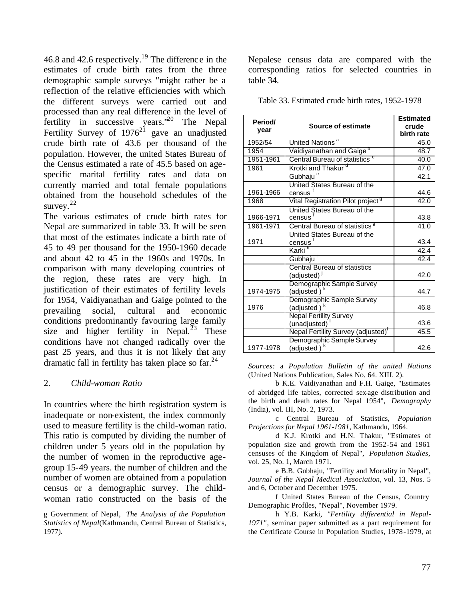46.8 and 42.6 respectively.<sup>19</sup> The difference in the estimates of crude birth rates from the three demographic sample surveys "might rather be a reflection of the relative efficiencies with which the different surveys were carried out and processed than any real difference in the level of fertility in successive years.<sup>20</sup> The Nepal Fertility Survey of  $1976^{21}$  gave an unadjusted crude birth rate of 43.6 per thousand of the population. However, the united States Bureau of the Census estimated a rate of 45.5 based on agespecific marital fertility rates and data on currently married and total female populations obtained from the household schedules of the survey. $^{22}$ 

The various estimates of crude birth rates for Nepal are summarized in table 33. It will be seen that most of the estimates indicate a birth rate of 45 to 49 per thousand for the 1950-1960 decade and about 42 to 45 in the 1960s and 1970s. In comparison with many developing countries of the region, these rates are very high. In justification of their estimates of fertility levels for 1954, Vaidiyanathan and Gaige pointed to the prevailing social, cultural and economic conditions predominantly favouring large family size and higher fertility in Nepal.<sup>23</sup> These conditions have not changed radically over the past 25 years, and thus it is not likely that any dramatic fall in fertility has taken place so  $far.^{24}$ 

### 2. *Child-woman Ratio*

In countries where the birth registration system is inadequate or non-existent, the index commonly used to measure fertility is the child-woman ratio. This ratio is computed by dividing the number of children under 5 years old in the population by the number of women in the reproductive agegroup 15-49 years. the number of children and the number of women are obtained from a population census or a demographic survey. The childwoman ratio constructed on the basis of the

g Government of Nepal, *The Analysis of the Population Statistics of Nepal*(Kathmandu, Central Bureau of Statistics, 1977).

Nepalese census data are compared with the corresponding ratios for selected countries in table 34.

|  | Table 33. Estimated crude birth rates, 1952-1978 |  |  |  |  |  |
|--|--------------------------------------------------|--|--|--|--|--|
|--|--------------------------------------------------|--|--|--|--|--|

| Period/<br>year | Source of estimate                                      | <b>Estimated</b><br>crude<br>birth rate |
|-----------------|---------------------------------------------------------|-----------------------------------------|
| 1952/54         | United Nations <sup>a</sup>                             | 45.0                                    |
| 1954            | Vaidiyanathan and Gaige <sup>b</sup>                    | 48.7                                    |
| 1951-1961       | Central Bureau of statistics <sup>c</sup>               | 40.0                                    |
| 1961            | Krotki and Thakur <sup>d</sup>                          | 47.0                                    |
|                 | Gubhaju <sup>e</sup>                                    | 42.1                                    |
|                 | United States Bureau of the                             |                                         |
| 1961-1966       | census                                                  | 44.6                                    |
| 1968            | Vital Registration Pilot project <sup>g</sup>           | 42.0                                    |
|                 | United States Bureau of the                             |                                         |
| 1966-1971       | census                                                  | 43.8                                    |
| 1961-1971       | Central Bureau of statistics <sup>9</sup>               | 41.0                                    |
| 1971            | United States Bureau of the<br>census                   | 43.4                                    |
|                 | Karki <sup>n</sup>                                      | 42.4                                    |
|                 | Gubhaju <sup>1</sup>                                    | 42.4                                    |
|                 | Central Bureau of statistics<br>(adjusted) <sup>1</sup> | 42.0                                    |
| 1974-1975       | Demographic Sample Survey<br>(adjusted)                 | 44.7                                    |
| 1976            | Demographic Sample Survey<br>(adjusted) <sup>k</sup>    | 46.8                                    |
|                 | <b>Nepal Fertility Survey</b><br>(unadjusted)           | 43.6                                    |
|                 | Nepal Fertility Survey (adjusted) <sup>T</sup>          | 45.5                                    |
| 1977-1978       | Demographic Sample Survey<br>(adjusted)                 | 42.6                                    |

*Sources:* a *Population Bulletin of the united Nations* (United Nations Publication, Sales No. 64. XIII. 2).

b K.E. Vaidiyanathan and F.H. Gaige, "Estimates of abridged life tables, corrected sex-age distribution and the birth and death rates for Nepal 1954", *Demography*  (India), vol. III, No. 2, 1973.

c Central Bureau of Statistics, *Population Projections for Nepal 1961-1981*, Kathmandu, 1964.

d K.J. Krotki and H.N. Thakur, "Estimates of population size and growth from the 1952-54 and 1961 censuses of the Kingdom of Nepal", *Population Studies,*  vol. 25, No. 1, March 1971.

e B.B. Gubhaju, "Fertility and Mortality in Nepal", *Journal of the Nepal Medical Association,* vol. 13, Nos. 5 and 6, October and December 1975.

f United States Bureau of the Census, Country Demographic Profiles, "Nepal", November 1979.

h Y.B. Karki, *"Fertility differential in Nepal-1971"*, seminar paper submitted as a part requirement for the Certificate Course in Population Studies, 1978-1979, at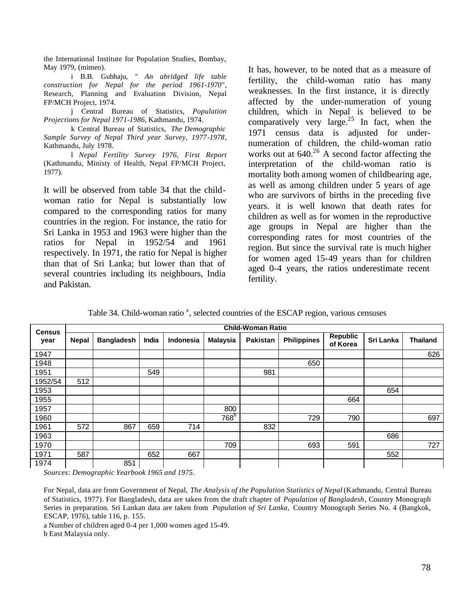the International Institute for Population Studies, Bombay, May 1979, (mimeo).

i B.B. Gubhaju, *" An abridged life table construction for Nepal for the period 1961-1970"*, Research, Planning and Evaluation Division, Nepal FP/MCH Project, 1974.

j Central Bureau of Statistics, *Population Projections for Nepal 1971-1986*, Kathmandu, 1974.

k Central Bureau of Statistics, *The Demographic Sample Survey of Nepal Third year Survey, 1977-1978*, Kathmandu, July 1978.

l *Nepal Fertility Survey 1976, First Report* (Kathmandu, Ministy of Health, Nepal FP/MCH Project, 1977).

It will be observed from table 34 that the childwoman ratio for Nepal is substantially low compared to the corresponding ratios for many countries in the region. For instance, the ratio for Sri Lanka in 1953 and 1963 were higher than the ratios for Nepal in 1952/54 and 1961 respectively. In 1971, the ratio for Nepal is higher than that of Sri Lanka; but lower than that of several countries including its neighbours, India and Pakistan.

It has, however, to be noted that as a measure of fertility, the child-woman ratio has many weaknesses. In the first instance, it is directly affected by the under-numeration of young children, which in Nepal is believed to be comparatively very large.<sup>25</sup> In fact, when the 1971 census data is adjusted for undernumeration of children, the child-woman ratio works out at  $640<sup>26</sup>$  A second factor affecting the interpretation of the child-woman ratio is mortality both among women of childbearing age, as well as among children under 5 years of age who are survivors of births in the preceding five years. it is well known that death rates for children as well as for women in the reproductive age groups in Nepal are higher than the corresponding rates for most countries of the region. But since the survival rate is much higher for women aged 15-49 years than for children aged 0-4 years, the ratios underestimate recent fertility.

Table 34. Child-woman ratio<sup>a</sup>, selected countries of the ESCAP region, various censuses

| <b>Census</b> |              | <b>Child-Woman Ratio</b> |       |           |                  |                 |                    |                             |           |                 |  |  |  |  |
|---------------|--------------|--------------------------|-------|-----------|------------------|-----------------|--------------------|-----------------------------|-----------|-----------------|--|--|--|--|
| year          | <b>Nepal</b> | <b>Bangladesh</b>        | India | Indonesia | <b>Malaysia</b>  | <b>Pakistan</b> | <b>Philippines</b> | <b>Republic</b><br>of Korea | Sri Lanka | <b>Thailand</b> |  |  |  |  |
| 1947          |              |                          |       |           |                  |                 |                    |                             |           | 626             |  |  |  |  |
| 1948          |              |                          |       |           |                  |                 | 650                |                             |           |                 |  |  |  |  |
| 1951          |              |                          | 549   |           |                  | 981             |                    |                             |           |                 |  |  |  |  |
| 1952/54       | 512          |                          |       |           |                  |                 |                    |                             |           |                 |  |  |  |  |
| 1953          |              |                          |       |           |                  |                 |                    |                             | 654       |                 |  |  |  |  |
| 1955          |              |                          |       |           |                  |                 |                    | 664                         |           |                 |  |  |  |  |
| 1957          |              |                          |       |           | 800              |                 |                    |                             |           |                 |  |  |  |  |
| 1960          |              |                          |       |           | 768 <sup>b</sup> |                 | 729                | 790                         |           | 697             |  |  |  |  |
| 1961          | 572          | 867                      | 659   | 714       |                  | 832             |                    |                             |           |                 |  |  |  |  |
| 1963          |              |                          |       |           |                  |                 |                    |                             | 686       |                 |  |  |  |  |
| 1970          |              |                          |       |           | 709              |                 | 693                | 591                         |           | 727             |  |  |  |  |
| 1971          | 587          |                          | 652   | 667       |                  |                 |                    |                             | 552       |                 |  |  |  |  |
| 1974          |              | 851                      |       |           |                  |                 |                    |                             |           |                 |  |  |  |  |

*Sources: Demographic Yearbook 1965 and 1975.*

For Nepal, data are from Government of Nepal, *The Analysis of the Population Statistics of Nepal* (Kathmandu, Central Bureau of Statistics, 1977). For Bangladesh, data are taken from the draft chapter of *Population of Bangladesh*, Country Monograph Series in preparation. Sri Lankan data are taken from *Population of Sri Lanka,* Country Monograph Series No. 4 (Bangkok, ESCAP, 1976), table 116, p. 155.

a Number of children aged 0-4 per 1,000 women aged 15-49. b East Malaysia only.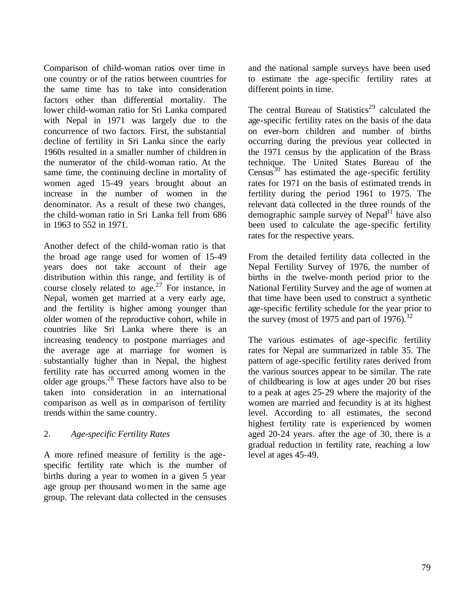Comparison of child-woman ratios over time in one country or of the ratios between countries for the same time has to take into consideration factors other than differential mortality. The lower child-woman ratio for Sri Lanka compared with Nepal in 1971 was largely due to the concurrence of two factors. First, the substantial decline of fertility in Sri Lanka since the early 1960s resulted in a smaller number of children in the numerator of the child-woman ratio. At the same time, the continuing decline in mortality of women aged 15-49 years brought about an increase in the number of women in the denominator. As a result of these two changes, the child-woman ratio in Sri Lanka fell from 686 in 1963 to 552 in 1971.

Another defect of the child-woman ratio is that the broad age range used for women of 15-49 years does not take account of their age distribution within this range, and fertility is of course closely related to age. $27$  For instance, in Nepal, women get married at a very early age, and the fertility is higher among younger than older women of the reproductive cohort, while in countries like Sri Lanka where there is an increasing tendency to postpone marriages and the average age at marriage for women is substantially higher than in Nepal, the highest fertility rate has occurred among women in the older age groups. $^{28}$  These factors have also to be taken into consideration in an international comparison as well as in comparison of fertility trends within the same country.

### 2. *Age-specific Fertility Rates*

A more refined measure of fertility is the agespecific fertility rate which is the number of births during a year to women in a given 5 year age group per thousand women in the same age group. The relevant data collected in the censuses

and the national sample surveys have been used to estimate the age-specific fertility rates at different points in time.

The central Bureau of Statistics<sup>29</sup> calculated the age-specific fertility rates on the basis of the data on ever-born children and number of births occurring during the previous year collected in the 1971 census by the application of the Brass technique. The United States Bureau of the Census<sup>30</sup> has estimated the age-specific fertility rates for 1971 on the basis of estimated trends in fertility during the period 1961 to 1975. The relevant data collected in the three rounds of the demographic sample survey of Nepal<sup>31</sup> have also been used to calculate the age-specific fertility rates for the respective years.

From the detailed fertility data collected in the Nepal Fertility Survey of 1976, the number of births in the twelve-month period prior to the National Fertility Survey and the age of women at that time have been used to construct a synthetic age-specific fertility schedule for the year prior to the survey (most of 1975 and part of 1976).<sup>32</sup>

The various estimates of age-specific fertility rates for Nepal are summarized in table 35. The pattern of age-specific fertility rates derived from the various sources appear to be similar. The rate of childbearing is low at ages under 20 but rises to a peak at ages 25-29 where the majority of the women are married and fecundity is at its highest level. According to all estimates, the second highest fertility rate is experienced by women aged 20-24 years. after the age of 30, there is a gradual reduction in fertility rate, reaching a low level at ages 45-49.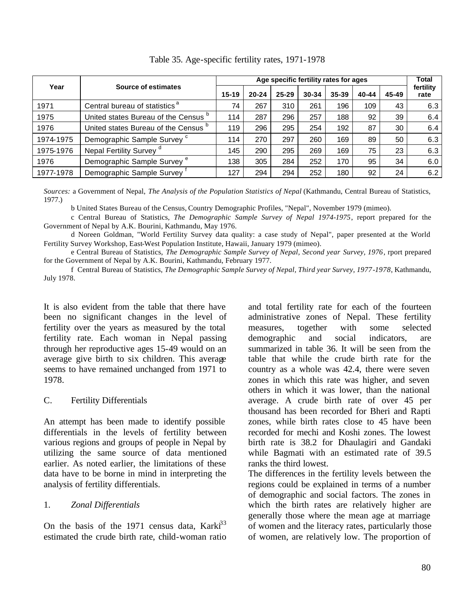|           |                                                 |           |           | Total     |       |       |       |       |                   |
|-----------|-------------------------------------------------|-----------|-----------|-----------|-------|-------|-------|-------|-------------------|
| Year      | <b>Source of estimates</b>                      | $15 - 19$ | $20 - 24$ | $25 - 29$ | 30-34 | 35-39 | 40-44 | 45-49 | fertility<br>rate |
| 1971      | Central bureau of statistics <sup>"</sup>       | 74        | 267       | 310       | 261   | 196   | 109   | 43    | 6.3               |
| 1975      | United states Bureau of the Census b            | 114       | 287       | 296       | 257   | 188   | 92    | 39    | 6.4               |
| 1976      | United states Bureau of the Census <sup>b</sup> | 119       | 296       | 295       | 254   | 192   | 87    | 30    | 6.4               |
| 1974-1975 | Demographic Sample Survey <sup>c</sup>          | 114       | 270       | 297       | 260   | 169   | 89    | 50    | 6.3               |
| 1975-1976 | Nepal Fertility Survey <sup>d</sup>             | 145       | 290       | 295       | 269   | 169   | 75    | 23    | 6.3               |
| 1976      | Demographic Sample Survey <sup>e</sup>          | 138       | 305       | 284       | 252   | 170   | 95    | 34    | 6.0               |
| 1977-1978 | Demographic Sample Survey                       | 127       | 294       | 294       | 252   | 180   | 92    | 24    | 6.2               |

Table 35. Age-specific fertility rates, 1971-1978

*Sources:* a Government of Nepal, *The Analysis of the Population Statistics of Nepal* (Kathmandu, Central Bureau of Statistics, 1977.)

b United States Bureau of the Census, Country Demographic Profiles, "Nepal", November 1979 (mimeo).

c Central Bureau of Statistics, *The Demographic Sample Survey of Nepal 1974-1975*, report prepared for the Government of Nepal by A.K. Bourini, Kathmandu, May 1976.

d Noreen Goldman, "World Fertility Survey data quality: a case study of Nepal", paper presented at the World Fertility Survey Workshop, East-West Population Institute, Hawaii, January 1979 (mimeo).

e Central Bureau of Statistics, *The Demographic Sample Survey of Nepal, Second year Survey, 1976*, rport prepared for the Government of Nepal by A.K. Bourini, Kathmandu, February 1977.

f Central Bureau of Statistics, *The Demographic Sample Survey of Nepal, Third year Survey, 1977-1978*, Kathmandu, July 1978.

It is also evident from the table that there have been no significant changes in the level of fertility over the years as measured by the total fertility rate. Each woman in Nepal passing through her reproductive ages 15-49 would on an average give birth to six children. This average seems to have remained unchanged from 1971 to 1978.

### C. Fertility Differentials

An attempt has been made to identify possible differentials in the levels of fertility between various regions and groups of people in Nepal by utilizing the same source of data mentioned earlier. As noted earlier, the limitations of these data have to be borne in mind in interpreting the analysis of fertility differentials.

### 1. *Zonal Differentials*

On the basis of the 1971 census data,  $Karki<sup>33</sup>$ estimated the crude birth rate, child-woman ratio and total fertility rate for each of the fourteen administrative zones of Nepal. These fertility measures, together with some selected demographic and social indicators, are summarized in table 36. It will be seen from the table that while the crude birth rate for the country as a whole was 42.4, there were seven zones in which this rate was higher, and seven others in which it was lower, than the national average. A crude birth rate of over 45 per thousand has been recorded for Bheri and Rapti zones, while birth rates close to 45 have been recorded for mechi and Koshi zones. The lowest birth rate is 38.2 for Dhaulagiri and Gandaki while Bagmati with an estimated rate of 39.5 ranks the third lowest.

The differences in the fertility levels between the regions could be explained in terms of a number of demographic and social factors. The zones in which the birth rates are relatively higher are generally those where the mean age at marriage of women and the literacy rates, particularly those of women, are relatively low. The proportion of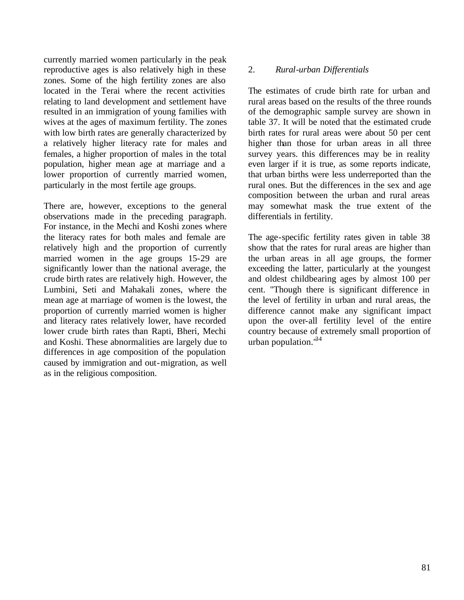currently married women particularly in the peak reproductive ages is also relatively high in these zones. Some of the high fertility zones are also located in the Terai where the recent activities relating to land development and settlement have resulted in an immigration of young families with wives at the ages of maximum fertility. The zones with low birth rates are generally characterized by a relatively higher literacy rate for males and females, a higher proportion of males in the total population, higher mean age at marriage and a lower proportion of currently married women, particularly in the most fertile age groups.

There are, however, exceptions to the general observations made in the preceding paragraph. For instance, in the Mechi and Koshi zones where the literacy rates for both males and female are relatively high and the proportion of currently married women in the age groups 15-29 are significantly lower than the national average, the crude birth rates are relatively high. However, the Lumbini, Seti and Mahakali zones, where the mean age at marriage of women is the lowest, the proportion of currently married women is higher and literacy rates relatively lower, have recorded lower crude birth rates than Rapti, Bheri, Mechi and Koshi. These abnormalities are largely due to differences in age composition of the population caused by immigration and out-migration, as well as in the religious composition.

### 2. *Rural-urban Differentials*

The estimates of crude birth rate for urban and rural areas based on the results of the three rounds of the demographic sample survey are shown in table 37. It will be noted that the estimated crude birth rates for rural areas were about 50 per cent higher than those for urban areas in all three survey years. this differences may be in reality even larger if it is true, as some reports indicate, that urban births were less underreported than the rural ones. But the differences in the sex and age composition between the urban and rural areas may somewhat mask the true extent of the differentials in fertility.

The age-specific fertility rates given in table 38 show that the rates for rural areas are higher than the urban areas in all age groups, the former exceeding the latter, particularly at the youngest and oldest childbearing ages by almost 100 per cent. "Though there is significant difference in the level of fertility in urban and rural areas, the difference cannot make any significant impact upon the over-all fertility level of the entire country because of extremely small proportion of urban population. $184$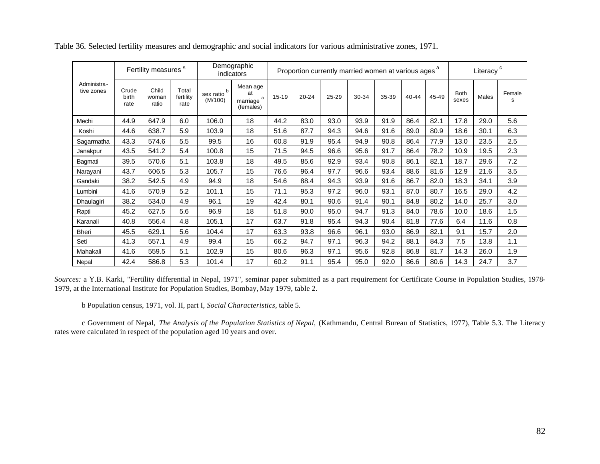|                           | Fertility measures <sup>a</sup> |                         | Demographic<br>indicators  |                                   | Proportion currently married women at various ages <sup>a</sup> |           |       |       |       |       |       | Literacy <sup>c</sup> |                      |       |             |
|---------------------------|---------------------------------|-------------------------|----------------------------|-----------------------------------|-----------------------------------------------------------------|-----------|-------|-------|-------|-------|-------|-----------------------|----------------------|-------|-------------|
| Administra-<br>tive zones | Crude<br>birth<br>rate          | Child<br>woman<br>ratio | Total<br>fertility<br>rate | sex ratio <sup>b</sup><br>(M/100) | Mean age<br>at<br>a<br>marriage<br>(females)                    | $15 - 19$ | 20-24 | 25-29 | 30-34 | 35-39 | 40-44 | 45-49                 | <b>Both</b><br>sexes | Males | Female<br>s |
| Mechi                     | 44.9                            | 647.9                   | 6.0                        | 106.0                             | 18                                                              | 44.2      | 83.0  | 93.0  | 93.9  | 91.9  | 86.4  | 82.1                  | 17.8                 | 29.0  | 5.6         |
| Koshi                     | 44.6                            | 638.7                   | 5.9                        | 103.9                             | 18                                                              | 51.6      | 87.7  | 94.3  | 94.6  | 91.6  | 89.0  | 80.9                  | 18.6                 | 30.1  | 6.3         |
| Sagarmatha                | 43.3                            | 574.6                   | 5.5                        | 99.5                              | 16                                                              | 60.8      | 91.9  | 95.4  | 94.9  | 90.8  | 86.4  | 77.9                  | 13.0                 | 23.5  | 2.5         |
| Janakpur                  | 43.5                            | 541.2                   | 5.4                        | 100.8                             | 15                                                              | 71.5      | 94.5  | 96.6  | 95.6  | 91.7  | 86.4  | 78.2                  | 10.9                 | 19.5  | 2.3         |
| Bagmati                   | 39.5                            | 570.6                   | 5.1                        | 103.8                             | 18                                                              | 49.5      | 85.6  | 92.9  | 93.4  | 90.8  | 86.1  | 82.1                  | 18.7                 | 29.6  | 7.2         |
| Narayani                  | 43.7                            | 606.5                   | 5.3                        | 105.7                             | 15                                                              | 76.6      | 96.4  | 97.7  | 96.6  | 93.4  | 88.6  | 81.6                  | 12.9                 | 21.6  | 3.5         |
| Gandaki                   | 38.2                            | 542.5                   | 4.9                        | 94.9                              | 18                                                              | 54.6      | 88.4  | 94.3  | 93.9  | 91.6  | 86.7  | 82.0                  | 18.3                 | 34.1  | 3.9         |
| Lumbini                   | 41.6                            | 570.9                   | 5.2                        | 101.1                             | 15                                                              | 71.1      | 95.3  | 97.2  | 96.0  | 93.1  | 87.0  | 80.7                  | 16.5                 | 29.0  | 4.2         |
| Dhaulagiri                | 38.2                            | 534.0                   | 4.9                        | 96.1                              | 19                                                              | 42.4      | 80.1  | 90.6  | 91.4  | 90.1  | 84.8  | 80.2                  | 14.0                 | 25.7  | 3.0         |
| Rapti                     | 45.2                            | 627.5                   | 5.6                        | 96.9                              | 18                                                              | 51.8      | 90.0  | 95.0  | 94.7  | 91.3  | 84.0  | 78.6                  | 10.0                 | 18.6  | 1.5         |
| Karanali                  | 40.8                            | 556.4                   | 4.8                        | 105.1                             | 17                                                              | 63.7      | 91.8  | 95.4  | 94.3  | 90.4  | 81.8  | 77.6                  | 6.4                  | 11.6  | 0.8         |
| Bheri                     | 45.5                            | 629.1                   | 5.6                        | 104.4                             | 17                                                              | 63.3      | 93.8  | 96.6  | 96.1  | 93.0  | 86.9  | 82.1                  | 9.1                  | 15.7  | 2.0         |
| Seti                      | 41.3                            | 557.1                   | 4.9                        | 99.4                              | 15                                                              | 66.2      | 94.7  | 97.1  | 96.3  | 94.2  | 88.1  | 84.3                  | 7.5                  | 13.8  | 1.1         |
| Mahakali                  | 41.6                            | 559.5                   | 5.1                        | 102.9                             | 15                                                              | 80.6      | 96.3  | 97.1  | 95.6  | 92.8  | 86.8  | 81.7                  | 14.3                 | 26.0  | 1.9         |
| Nepal                     | 42.4                            | 586.8                   | 5.3                        | 101.4                             | 17                                                              | 60.2      | 91.1  | 95.4  | 95.0  | 92.0  | 86.6  | 80.6                  | 14.3                 | 24.7  | 3.7         |

Table 36. Selected fertility measures and demographic and social indicators for various administrative zones, 1971.

*Sources:* a Y.B. Karki, "Fertility differential in Nepal, 1971", seminar paper submitted as a part requirement for Certificate Course in Population Studies, 1978- 1979, at the International Institute for Population Studies, Bombay, May 1979, table 2.

b Population census, 1971, vol. II, part I, *Social Characteristics,* table 5.

c Government of Nepal, *The Analysis of the Population Statistics of Nepal,* (Kathmandu, Central Bureau of Statistics, 1977), Table 5.3. The Literacy rates were calculated in respect of the population aged 10 years and over.